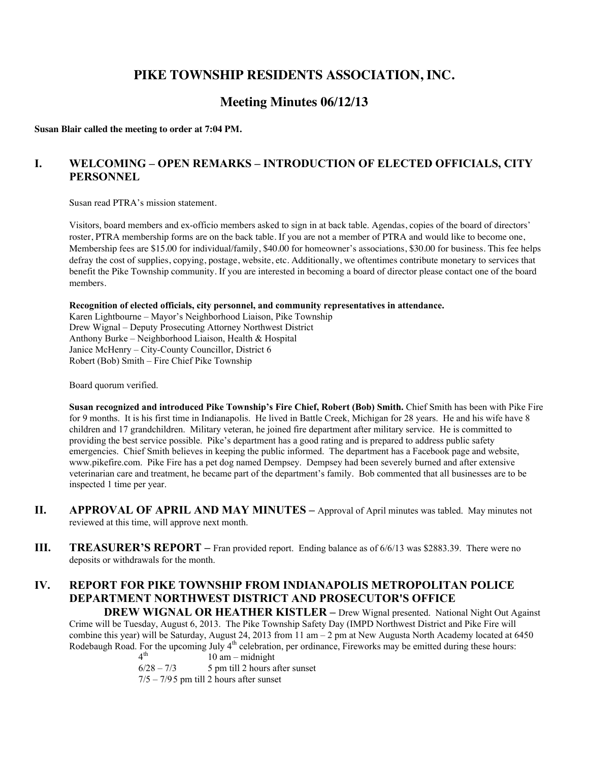# **PIKE TOWNSHIP RESIDENTS ASSOCIATION, INC.**

# **Meeting Minutes 06/12/13**

**Susan Blair called the meeting to order at 7:04 PM.**

## **I. WELCOMING – OPEN REMARKS – INTRODUCTION OF ELECTED OFFICIALS, CITY PERSONNEL**

Susan read PTRA's mission statement.

Visitors, board members and ex-officio members asked to sign in at back table. Agendas, copies of the board of directors' roster, PTRA membership forms are on the back table. If you are not a member of PTRA and would like to become one, Membership fees are \$15.00 for individual/family, \$40.00 for homeowner's associations, \$30.00 for business. This fee helps defray the cost of supplies, copying, postage, website, etc. Additionally, we oftentimes contribute monetary to services that benefit the Pike Township community. If you are interested in becoming a board of director please contact one of the board members.

**Recognition of elected officials, city personnel, and community representatives in attendance.**

Karen Lightbourne – Mayor's Neighborhood Liaison, Pike Township Drew Wignal – Deputy Prosecuting Attorney Northwest District Anthony Burke – Neighborhood Liaison, Health & Hospital Janice McHenry – City-County Councillor, District 6 Robert (Bob) Smith – Fire Chief Pike Township

Board quorum verified.

**Susan recognized and introduced Pike Township's Fire Chief, Robert (Bob) Smith.** Chief Smith has been with Pike Fire for 9 months. It is his first time in Indianapolis. He lived in Battle Creek, Michigan for 28 years. He and his wife have 8 children and 17 grandchildren. Military veteran, he joined fire department after military service. He is committed to providing the best service possible. Pike's department has a good rating and is prepared to address public safety emergencies. Chief Smith believes in keeping the public informed. The department has a Facebook page and website, www.pikefire.com. Pike Fire has a pet dog named Dempsey. Dempsey had been severely burned and after extensive veterinarian care and treatment, he became part of the department's family. Bob commented that all businesses are to be inspected 1 time per year.

- **II. APPROVAL OF APRIL AND MAY MINUTES** Approval of April minutes was tabled. May minutes not reviewed at this time, will approve next month.
- **III. TREASURER'S REPORT** Fran provided report. Ending balance as of 6/6/13 was \$2883.39. There were no deposits or withdrawals for the month.

# **IV. REPORT FOR PIKE TOWNSHIP FROM INDIANAPOLIS METROPOLITAN POLICE DEPARTMENT NORTHWEST DISTRICT AND PROSECUTOR'S OFFICE**

**DREW WIGNAL OR HEATHER KISTLER –** Drew Wignal presented. National Night Out Against Crime will be Tuesday, August 6, 2013. The Pike Township Safety Day (IMPD Northwest District and Pike Fire will combine this year) will be Saturday, August 24, 2013 from 11 am – 2 pm at New Augusta North Academy located at 6450 Rodebaugh Road. For the upcoming July  $4^{th}$  celebration, per ordinance, Fireworks may be emitted during these hours:<br> $10 \text{ am} - \text{midnight}$  $10$  am – midnight

 $6/28 - 7/3$  5 pm till 2 hours after sunset  $7/5 - 7/95$  pm till 2 hours after sunset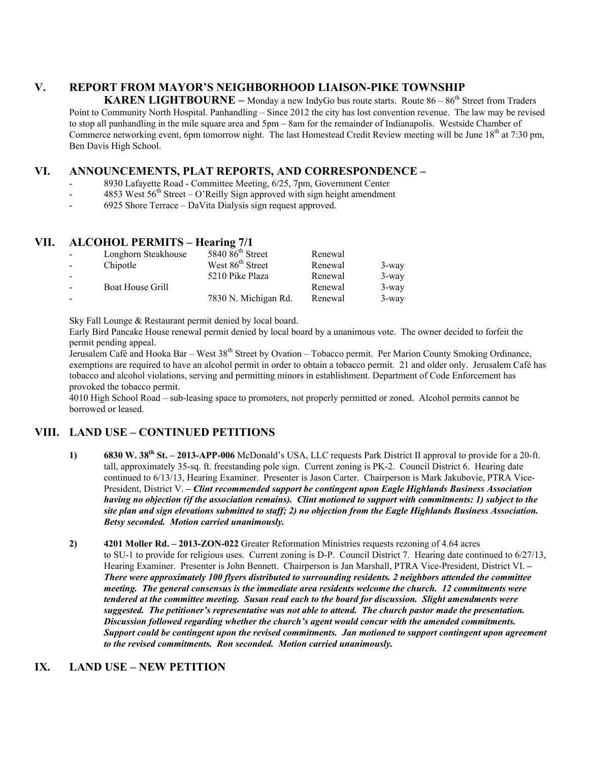## **V. REPORT FROM MAYOR'S NEIGHBORHOOD LIAISON-PIKE TOWNSHIP**

**KAREN LIGHTBOURNE –** Monday a new IndyGo bus route starts. Route 86 – 86<sup>th</sup> Street from Traders Point to Community North Hospital. Panhandling – Since 2012 the city has lost convention revenue. The law may be revised to stop all panhandling in the mile square area and 5pm – 8am for the remainder of Indianapolis. Westside Chamber of Commerce networking event, 6pm tomorrow night. The last Homestead Credit Review meeting will be June 18<sup>th</sup> at 7:30 pm, Ben Davis High School.

### **VI. ANNOUNCEMENTS, PLAT REPORTS, AND CORRESPONDENCE –**

- 8930 Lafayette Road Committee Meeting, 6/25, 7pm, Government Center
- 4853 West  $56<sup>th</sup>$  Street O'Reilly Sign approved with sign height amendment
- 6925 Shore Terrace DaVita Dialysis sign request approved.

#### **VII. ALCOHOL PERMITS – Hearing 7/1**

| $\sim$                   | Longhorn Steakhouse | 5840 86 <sup>th</sup> Street | Renewal |          |
|--------------------------|---------------------|------------------------------|---------|----------|
| $\sim$                   | Chipotle            | West 86 <sup>th</sup> Street | Renewal | 3-way    |
| $\overline{\phantom{0}}$ |                     | 5210 Pike Plaza              | Renewal | $3$ -way |
| $\sim$                   | Boat House Grill    |                              | Renewal | 3-way    |
| -                        |                     | 7830 N. Michigan Rd.         | Renewal | 3-way    |

Sky Fall Lounge & Restaurant permit denied by local board.

Early Bird Pancake House renewal permit denied by local board by a unanimous vote. The owner decided to forfeit the permit pending appeal.

Jerusalem Café and Hooka Bar – West 38th Street by Ovation – Tobacco permit. Per Marion County Smoking Ordinance, exemptions are required to have an alcohol permit in order to obtain a tobacco permit. 21 and older only. Jerusalem Café has tobacco and alcohol violations, serving and permitting minors in establishment. Department of Code Enforcement has provoked the tobacco permit.

4010 High School Road – sub-leasing space to promoters, not properly permitted or zoned. Alcohol permits cannot be borrowed or leased.

### **VIII. LAND USE – CONTINUED PETITIONS**

- **1) 6830 W. 38th St. 2013-APP-006** McDonald's USA, LLC requests Park District II approval to provide for a 20-ft. tall, approximately 35-sq. ft. freestanding pole sign. Current zoning is PK-2. Council District 6. Hearing date continued to 6/13/13, Hearing Examiner. Presenter is Jason Carter. Chairperson is Mark Jakubovie, PTRA Vice-President, District V. *– Clint recommended support be contingent upon Eagle Highlands Business Association having no objection (if the association remains). Clint motioned to support with commitments: 1) subject to the site plan and sign elevations submitted to staff; 2) no objection from the Eagle Highlands Business Association. Betsy seconded. Motion carried unanimously.*
- **2) 4201 Moller Rd. 2013-ZON-022** Greater Reformation Ministries requests rezoning of 4.64 acres to SU-1 to provide for religious uses. Current zoning is D-P. Council District 7. Hearing date continued to 6/27/13, Hearing Examiner. Presenter is John Bennett. Chairperson is Jan Marshall, PTRA Vice-President, District VI. *– There were approximately 100 flyers distributed to surrounding residents. 2 neighbors attended the committee meeting. The general consensus is the immediate area residents welcome the church. 12 commitments were tendered at the committee meeting. Susan read each to the board for discussion. Slight amendments were suggested. The petitioner's representative was not able to attend. The church pastor made the presentation. Discussion followed regarding whether the church's agent would concur with the amended commitments. Support could be contingent upon the revised commitments. Jan motioned to support contingent upon agreement to the revised commitments. Ron seconded. Motion carried unanimously.*

## **IX. LAND USE – NEW PETITION**